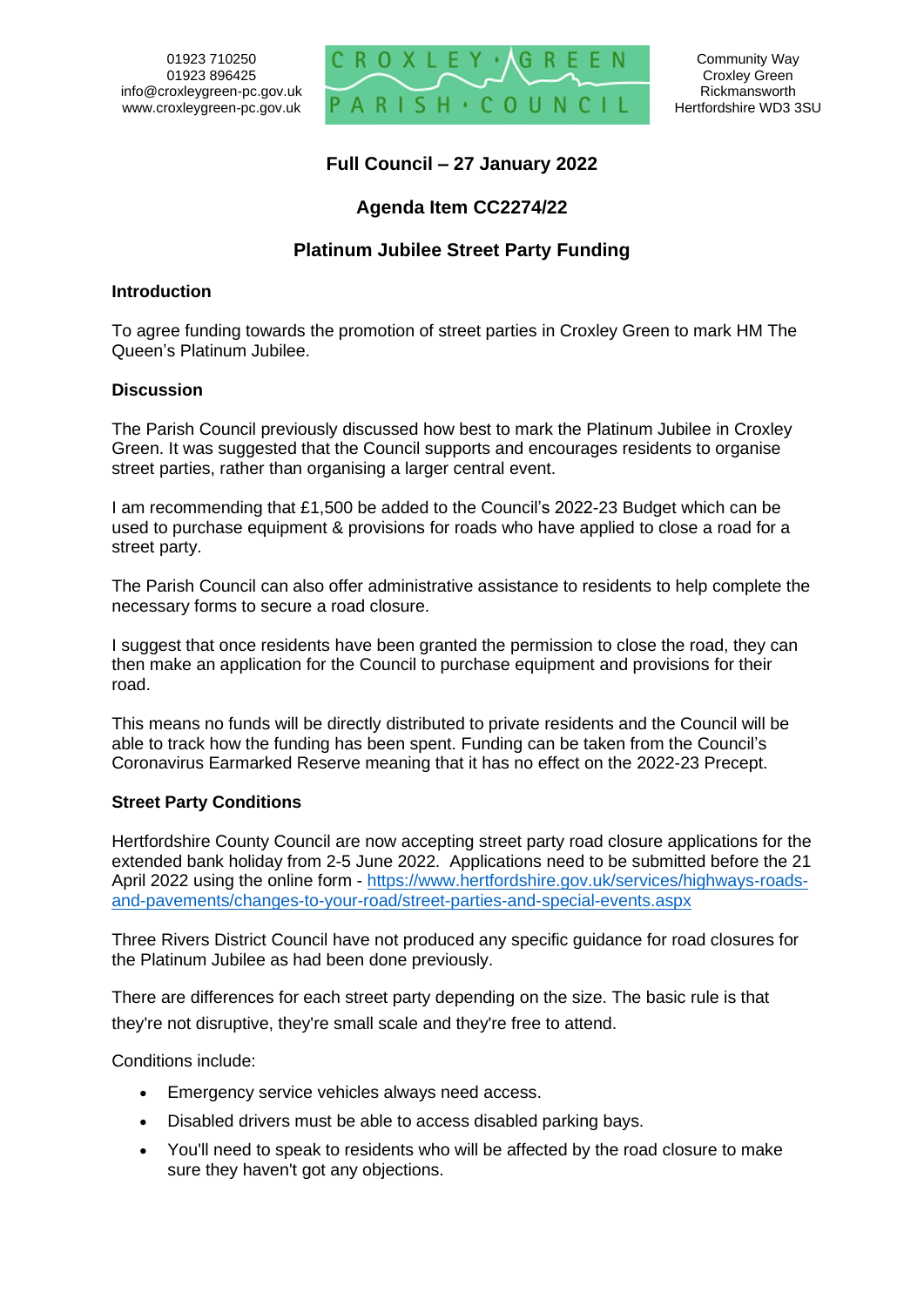

**Full Council – 27 January 2022**

# **Agenda Item CC2274/22**

# **Platinum Jubilee Street Party Funding**

### **Introduction**

To agree funding towards the promotion of street parties in Croxley Green to mark HM The Queen's Platinum Jubilee.

## **Discussion**

The Parish Council previously discussed how best to mark the Platinum Jubilee in Croxley Green. It was suggested that the Council supports and encourages residents to organise street parties, rather than organising a larger central event.

I am recommending that £1,500 be added to the Council's 2022-23 Budget which can be used to purchase equipment & provisions for roads who have applied to close a road for a street party.

The Parish Council can also offer administrative assistance to residents to help complete the necessary forms to secure a road closure.

I suggest that once residents have been granted the permission to close the road, they can then make an application for the Council to purchase equipment and provisions for their road.

This means no funds will be directly distributed to private residents and the Council will be able to track how the funding has been spent. Funding can be taken from the Council's Coronavirus Earmarked Reserve meaning that it has no effect on the 2022-23 Precept.

## **Street Party Conditions**

Hertfordshire County Council are now accepting street party road closure applications for the extended bank holiday from 2-5 June 2022. Applications need to be submitted before the 21 April 2022 using the online form - [https://www.hertfordshire.gov.uk/services/highways-roads](https://www.hertfordshire.gov.uk/services/highways-roads-and-pavements/changes-to-your-road/street-parties-and-special-events.aspx)[and-pavements/changes-to-your-road/street-parties-and-special-events.aspx](https://www.hertfordshire.gov.uk/services/highways-roads-and-pavements/changes-to-your-road/street-parties-and-special-events.aspx)

Three Rivers District Council have not produced any specific guidance for road closures for the Platinum Jubilee as had been done previously.

There are differences for each street party depending on the size. The basic rule is that they're not disruptive, they're small scale and they're free to attend.

Conditions include:

- Emergency service vehicles always need access.
- Disabled drivers must be able to access disabled parking bays.
- You'll need to speak to residents who will be affected by the road closure to make sure they haven't got any objections.